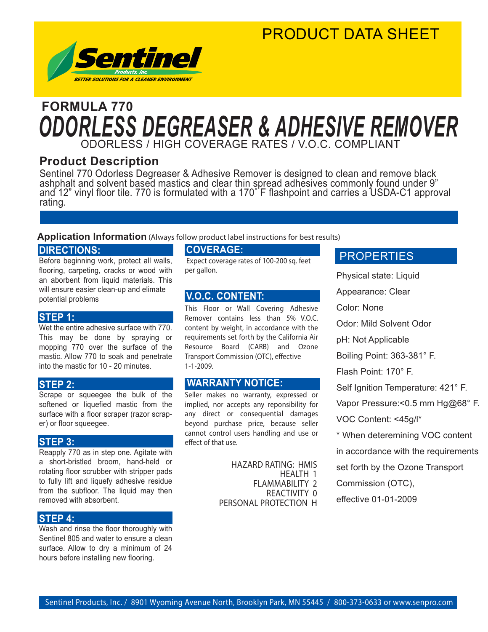### PRODUCT DATA SHEET



### ODORLESS / HIGH COVERAGE RATES / V.O.C. COMPLIANT **FORMULA 770** *ODORLESS DEGREASER & ADHESIVE REMOVER*

#### **Product Description**

Sentinel 770 Odorless Degreaser & Adhesive Remover is designed to clean and remove black ashphalt and solvent based mastics and clear thin spread adhesives commonly found under 9" and 12" vinyl floor tile. 770 is formulated with a 170˚ F flashpoint and carries a USDA-C1 approval rating.

#### **Application Information** (Always follow product label instructions for best results)

#### **DIRECTIONS:**

Before beginning work, protect all walls, flooring, carpeting, cracks or wood with an aborbent from liquid materials. This will ensure easier clean-up and elimate potential problems

#### **STEP 1:**

Wet the entire adhesive surface with 770. This may be done by spraying or mopping 770 over the surface of the mastic. Allow 770 to soak and penetrate into the mastic for 10 - 20 minutes.

#### **STEP 2:**

Scrape or squeegee the bulk of the softened or liquefied mastic from the surface with a floor scraper (razor scraper) or floor squeegee.

#### **STEP 3:**

Reapply 770 as in step one. Agitate with a short-bristled broom, hand-held or rotating floor scrubber with stripper pads to fully lift and liquefy adhesive residue from the subfloor. The liquid may then removed with absorbent.

#### **STEP 4:**

Wash and rinse the floor thoroughly with Sentinel 805 and water to ensure a clean surface. Allow to dry a minimum of 24 hours before installing new flooring.

#### **COVERAGE:**

 Expect coverage rates of 100-200 sq. feet per gallon.

#### **V.O.C. CONTENT:**

This Floor or Wall Covering Adhesive Remover contains less than 5% V.O.C. content by weight, in accordance with the requirements set forth by the California Air Resource Board (CARB) and Ozone Transport Commission (OTC), effective 1-1-2009.

#### **WARRANTY NOTICE:**

Seller makes no warranty, expressed or implied, nor accepts any reponsibility for any direct or consequential damages beyond purchase price, because seller cannot control users handling and use or effect of that use.

> HAZARD RATING: HMIS HEALTH 1 FLAMMABILITY 2 REACTIVITY 0 PERSONAL PROTECTION H

#### **PROPERTIES**

Physical state: Liquid Appearance: Clear Color: None Odor: Mild Solvent Odor pH: Not Applicable Boiling Point: 363-381° F. Flash Point: 170° F. Self Ignition Temperature: 421° F. Vapor Pressure:< 0.5 mm Hg@68° F. VOC Content: <45g/l\* \* When deteremining VOC content in accordance with the requirements set forth by the Ozone Transport Commission (OTC), effective 01-01-2009